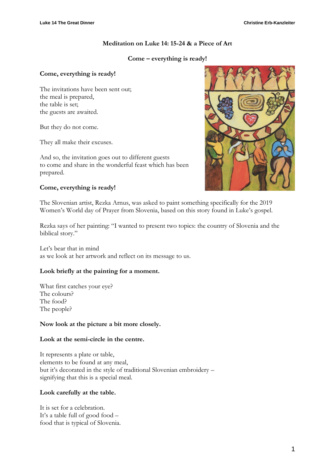# **Meditation on Luke 14: 15-24 & a Piece of Art**

# **Come – everything is ready!**

# **Come, everything is ready!**

The invitations have been sent out; the meal is prepared, the table is set; the guests are awaited.

But they do not come.

They all make their excuses.

And so, the invitation goes out to different guests to come and share in the wonderful feast which has been prepared.

# **Come, everything is ready!**



The Slovenian artist, Rezka Arnus, was asked to paint something specifically for the 2019 Women's World day of Prayer from Slovenia, based on this story found in Luke's gospel.

Rezka says of her painting: "I wanted to present two topics: the country of Slovenia and the biblical story."

Let's bear that in mind as we look at her artwork and reflect on its message to us.

# **Look briefly at the painting for a moment.**

What first catches your eye? The colours? The food? The people?

# **Now look at the picture a bit more closely.**

# **Look at the semi-circle in the centre.**

It represents a plate or table, elements to be found at any meal, but it's decorated in the style of traditional Slovenian embroidery – signifying that this is a special meal.

# **Look carefully at the table.**

It is set for a celebration. It's a table full of good food – food that is typical of Slovenia.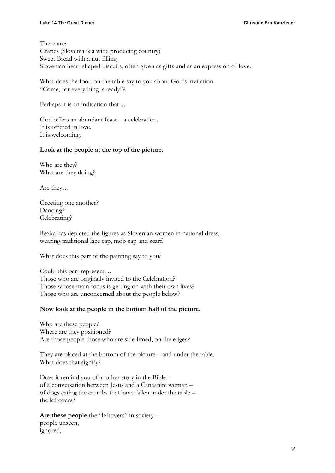#### **Luke 14 The Great Dinner Christine Erb-Kanzleiter**

There are: Grapes (Slovenia is a wine producing country) Sweet Bread with a nut filling Slovenian heart-shaped biscuits, often given as gifts and as an expression of love.

What does the food on the table say to you about God's invitation "Come, for everything is ready"?

Perhaps it is an indication that…

God offers an abundant feast – a celebration. It is offered in love. It is welcoming.

### **Look at the people at the top of the picture.**

Who are they? What are they doing?

Are they…

Greeting one another? Dancing? Celebrating?

Rezka has depicted the figures as Slovenian women in national dress, wearing traditional lace cap, mob cap and scarf.

What does this part of the painting say to you?

Could this part represent… Those who are originally invited to the Celebration? Those whose main focus is getting on with their own lives? Those who are unconcerned about the people below?

# **Now look at the people in the bottom half of the picture.**

Who are these people? Where are they positioned? Are those people those who are side-limed, on the edges?

They are placed at the bottom of the picture – and under the table. What does that signify?

Does it remind you of another story in the Bible – of a conversation between Jesus and a Canaanite woman – of dogs eating the crumbs that have fallen under the table – the leftovers?

Are these people the "leftovers" in society – people unseen, ignored,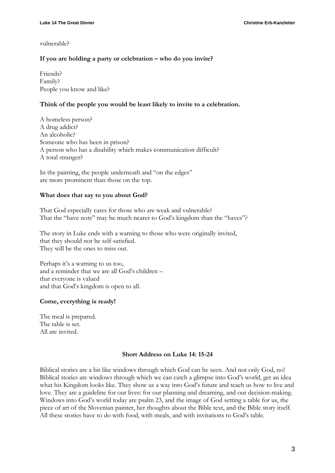### vulnerable?

# **If you are holding a party or celebration – who do you invite?**

Friends? Family? People you know and like?

### **Think of the people you would be least likely to invite to a celebration.**

A homeless person? A drug addict? An alcoholic? Someone who has been in prison? A person who has a disability which makes communication difficult? A total stranger?

In the painting, the people underneath and "on the edges" are more prominent than those on the top.

### **What does that say to you about God?**

That God especially cares for those who are weak and vulnerable? That the "have nots" may be much nearer to God's kingdom than the "haves"?

The story in Luke ends with a warning to those who were originally invited, that they should not be self-satisfied. They will be the ones to miss out.

Perhaps it's a warning to us too, and a reminder that we are all God's children – that everyone is valued and that God's kingdom is open to all.

#### **Come, everything is ready!**

The meal is prepared. The table is set. All are invited.

#### **Short Address on Luke 14: 15-24**

Biblical stories are a bit like windows through which God can be seen. And not only God, no! Biblical stories are windows through which we can catch a glimpse into God's world, get an idea what his Kingdom looks like. They show us a way into God's future and teach us how to live and love. They are a guideline for our lives: for our planning and dreaming, and our decision-making. Windows into God's world today are psalm 23, and the image of God setting a table for us, the piece of art of the Slovenian painter, her thoughts about the Bible text, and the Bible story itself. All these stories have to do with food, with meals, and with invitations to God's table.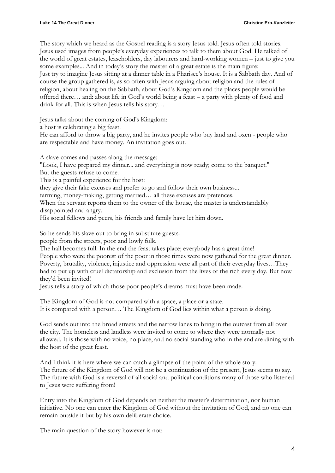The story which we heard as the Gospel reading is a story Jesus told. Jesus often told stories. Jesus used images from people's everyday experiences to talk to them about God. He talked of the world of great estates, leaseholders, day labourers and hard-working women – just to give you some examples... And in today's story the master of a great estate is the main figure: Just try to imagine Jesus sitting at a dinner table in a Pharisee's house. It is a Sabbath day. And of course the group gathered is, as so often with Jesus arguing about religion and the rules of religion, about healing on the Sabbath, about God's Kingdom and the places people would be offered there… and: about life in God's world being a feast – a party with plenty of food and drink for all. This is when Jesus tells his story…

Jesus talks about the coming of God's Kingdom:

a host is celebrating a big feast.

He can afford to throw a big party, and he invites people who buy land and oxen - people who are respectable and have money. An invitation goes out.

A slave comes and passes along the message:

"Look, I have prepared my dinner... and everything is now ready; come to the banquet." But the guests refuse to come.

This is a painful experience for the host:

they give their fake excuses and prefer to go and follow their own business...

farming, money-making, getting married… all these excuses are pretences.

When the servant reports them to the owner of the house, the master is understandably disappointed and angry.

His social fellows and peers, his friends and family have let him down.

So he sends his slave out to bring in substitute guests:

people from the streets, poor and lowly folk.

The hall becomes full. In the end the feast takes place; everybody has a great time! People who were the poorest of the poor in those times were now gathered for the great dinner. Poverty, brutality, violence, injustice and oppression were all part of their everyday lives…They had to put up with cruel dictatorship and exclusion from the lives of the rich every day. But now they'd been invited!

Jesus tells a story of which those poor people's dreams must have been made.

The Kingdom of God is not compared with a space, a place or a state. It is compared with a person… The Kingdom of God lies within what a person is doing.

God sends out into the broad streets and the narrow lanes to bring in the outcast from all over the city. The homeless and landless were invited to come to where they were normally not allowed. It is those with no voice, no place, and no social standing who in the end are dining with the host of the great feast.

And I think it is here where we can catch a glimpse of the point of the whole story. The future of the Kingdom of God will not be a continuation of the present, Jesus seems to say. The future with God is a reversal of all social and political conditions many of those who listened to Jesus were suffering from!

Entry into the Kingdom of God depends on neither the master's determination, nor human initiative. No one can enter the Kingdom of God without the invitation of God, and no one can remain outside it but by his own deliberate choice.

The main question of the story however is not: